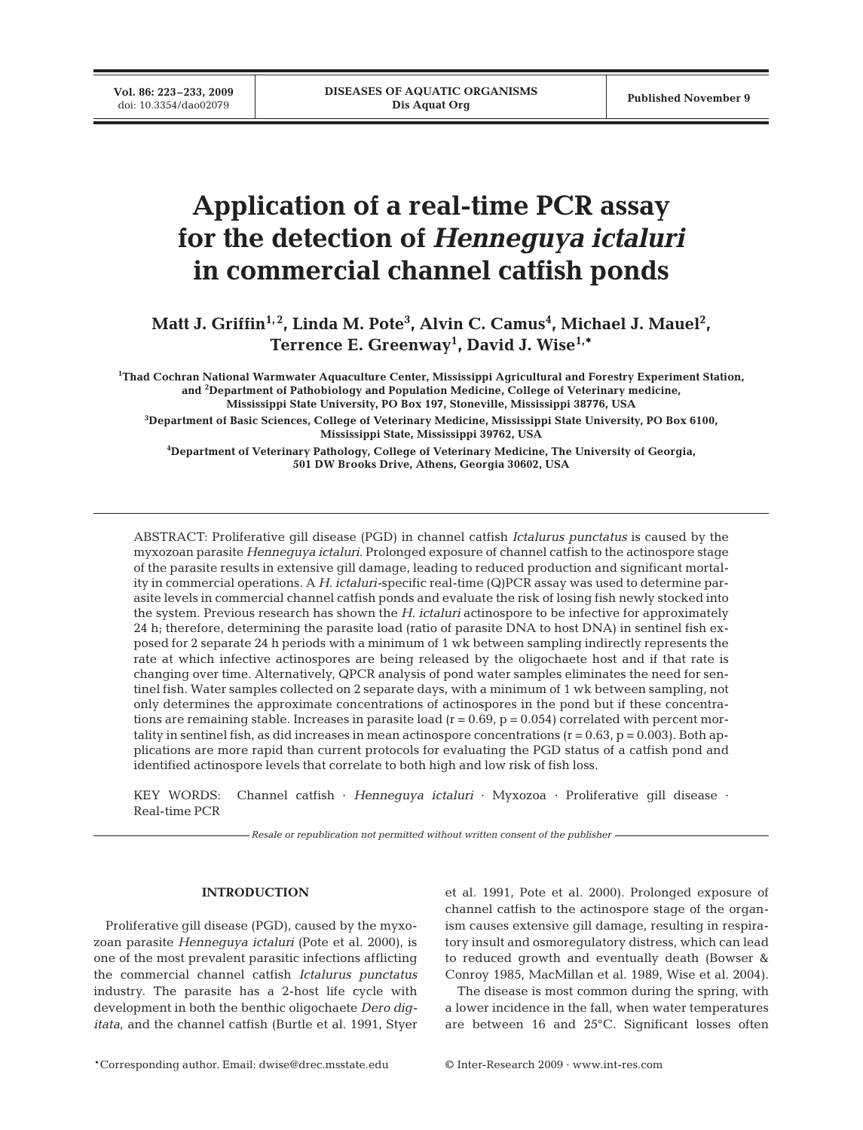**Vol. 86: 223–233, 2009**<br>doi: 10.3354/dao02079

# **Application of a real-time PCR assay for the detection of** *Henneguya ictaluri* **in commercial channel catfish ponds**

Matt J. Griffin<sup>1,2</sup>, Linda M. Pote<sup>3</sup>, Alvin C. Camus<sup>4</sup>, Michael J. Mauel<sup>2</sup>, **Terrence E. Greenway1 , David J. Wise1,\***

**1 Thad Cochran National Warmwater Aquaculture Center, Mississippi Agricultural and Forestry Experiment Station, and <sup>2</sup> Department of Pathobiology and Population Medicine, College of Veterinary medicine, Mississippi State University, PO Box 197, Stoneville, Mississippi 38776, USA**

**3 Department of Basic Sciences, College of Veterinary Medicine, Mississippi State University, PO Box 6100, Mississippi State, Mississippi 39762, USA**

**4 Department of Veterinary Pathology, College of Veterinary Medicine, The University of Georgia, 501 DW Brooks Drive, Athens, Georgia 30602, USA**

ABSTRACT: Proliferative gill disease (PGD) in channel catfish *Ictalurus punctatus* is caused by the myxozoan parasite *Henneguya ictaluri*. Prolonged exposure of channel catfish to the actinospore stage of the parasite results in extensive gill damage, leading to reduced production and significant mortality in commercial operations. A *H. ictaluri-*specific real-time (Q)PCR assay was used to determine parasite levels in commercial channel catfish ponds and evaluate the risk of losing fish newly stocked into the system. Previous research has shown the *H. ictaluri* actinospore to be infective for approximately 24 h; therefore, determining the parasite load (ratio of parasite DNA to host DNA) in sentinel fish exposed for 2 separate 24 h periods with a minimum of 1 wk between sampling indirectly represents the rate at which infective actinospores are being released by the oligochaete host and if that rate is changing over time. Alternatively, QPCR analysis of pond water samples eliminates the need for sentinel fish. Water samples collected on 2 separate days, with a minimum of 1 wk between sampling, not only determines the approximate concentrations of actinospores in the pond but if these concentrations are remaining stable. Increases in parasite load ( $r = 0.69$ ,  $p = 0.054$ ) correlated with percent mortality in sentinel fish, as did increases in mean actinospore concentrations  $(r = 0.63, p = 0.003)$ . Both applications are more rapid than current protocols for evaluating the PGD status of a catfish pond and identified actinospore levels that correlate to both high and low risk of fish loss.

KEY WORDS: Channel catfish · *Henneguya ictaluri* · Myxozoa · Proliferative gill disease · Real-time PCR

*Resale or republication not permitted without written consent of the publisher*

# **INTRODUCTION**

Proliferative gill disease (PGD), caused by the myxozoan parasite *Henneguya ictaluri* (Pote et al. 2000), is one of the most prevalent parasitic infections afflicting the commercial channel catfish *Ictalurus punctatus* industry. The parasite has a 2-host life cycle with development in both the benthic oligochaete *Dero digitata*, and the channel catfish (Burtle et al. 1991, Styer et al. 1991, Pote et al. 2000). Prolonged exposure of channel catfish to the actinospore stage of the organism causes extensive gill damage, resulting in respiratory insult and osmoregulatory distress, which can lead to reduced growth and eventually death (Bowser & Conroy 1985, MacMillan et al. 1989, Wise et al. 2004).

The disease is most common during the spring, with a lower incidence in the fall, when water temperatures are between 16 and 25°C. Significant losses often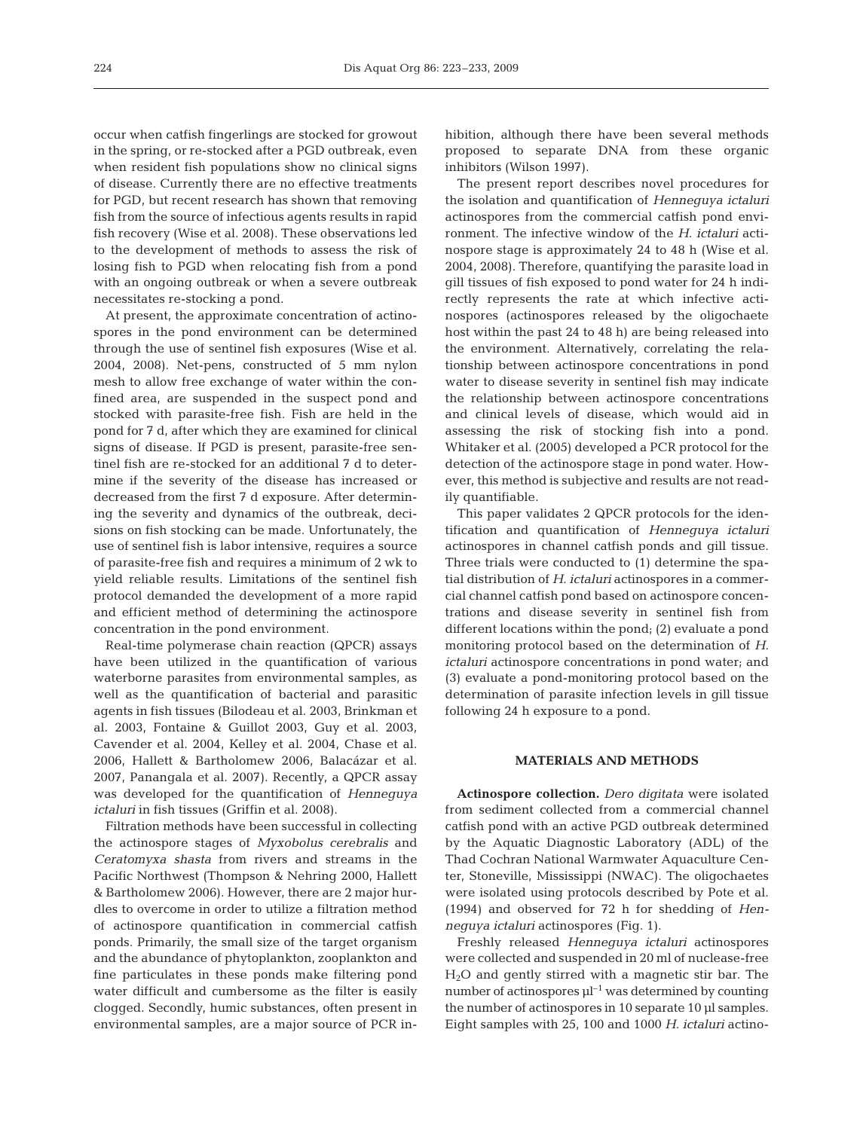occur when catfish fingerlings are stocked for growout in the spring, or re-stocked after a PGD outbreak, even when resident fish populations show no clinical signs of disease. Currently there are no effective treatments for PGD, but recent research has shown that removing fish from the source of infectious agents results in rapid fish recovery (Wise et al. 2008). These observations led to the development of methods to assess the risk of losing fish to PGD when relocating fish from a pond with an ongoing outbreak or when a severe outbreak necessitates re-stocking a pond.

At present, the approximate concentration of actinospores in the pond environment can be determined through the use of sentinel fish exposures (Wise et al. 2004, 2008). Net-pens, constructed of 5 mm nylon mesh to allow free exchange of water within the confined area, are suspended in the suspect pond and stocked with parasite-free fish. Fish are held in the pond for 7 d, after which they are examined for clinical signs of disease. If PGD is present, parasite-free sentinel fish are re-stocked for an additional 7 d to determine if the severity of the disease has increased or decreased from the first 7 d exposure. After determining the severity and dynamics of the outbreak, decisions on fish stocking can be made. Unfortunately, the use of sentinel fish is labor intensive, requires a source of parasite-free fish and requires a minimum of 2 wk to yield reliable results. Limitations of the sentinel fish protocol demanded the development of a more rapid and efficient method of determining the actinospore concentration in the pond environment.

Real-time polymerase chain reaction (QPCR) assays have been utilized in the quantification of various waterborne parasites from environmental samples, as well as the quantification of bacterial and parasitic agents in fish tissues (Bilodeau et al. 2003, Brinkman et al. 2003, Fontaine & Guillot 2003, Guy et al. 2003, Cavender et al. 2004, Kelley et al. 2004, Chase et al. 2006, Hallett & Bartholomew 2006, Balacázar et al. 2007, Panangala et al. 2007). Recently, a QPCR assay was developed for the quantification of *Henneguya ictaluri* in fish tissues (Griffin et al. 2008).

Filtration methods have been successful in collecting the actinospore stages of *Myxobolus cerebralis* and *Ceratomyxa shasta* from rivers and streams in the Pacific Northwest (Thompson & Nehring 2000, Hallett & Bartholomew 2006). However, there are 2 major hurdles to overcome in order to utilize a filtration method of actinospore quantification in commercial catfish ponds. Primarily, the small size of the target organism and the abundance of phytoplankton, zooplankton and fine particulates in these ponds make filtering pond water difficult and cumbersome as the filter is easily clogged. Secondly, humic substances, often present in environmental samples, are a major source of PCR inhibition, although there have been several methods proposed to separate DNA from these organic inhibitors (Wilson 1997).

The present report describes novel procedures for the isolation and quantification of *Henneguya ictaluri* actinospores from the commercial catfish pond environment. The infective window of the *H. ictaluri* actinospore stage is approximately 24 to 48 h (Wise et al. 2004, 2008). Therefore, quantifying the parasite load in gill tissues of fish exposed to pond water for 24 h indirectly represents the rate at which infective actinospores (actinospores released by the oligochaete host within the past 24 to 48 h) are being released into the environment. Alternatively, correlating the relationship between actinospore concentrations in pond water to disease severity in sentinel fish may indicate the relationship between actinospore concentrations and clinical levels of disease, which would aid in assessing the risk of stocking fish into a pond. Whitaker et al. (2005) developed a PCR protocol for the detection of the actinospore stage in pond water. However, this method is subjective and results are not readily quantifiable.

This paper validates 2 QPCR protocols for the identification and quantification of *Henneguya ictaluri* actinospores in channel catfish ponds and gill tissue. Three trials were conducted to (1) determine the spatial distribution of *H. ictaluri* actinospores in a commercial channel catfish pond based on actinospore concentrations and disease severity in sentinel fish from different locations within the pond; (2) evaluate a pond monitoring protocol based on the determination of *H. ictaluri* actinospore concentrations in pond water; and (3) evaluate a pond-monitoring protocol based on the determination of parasite infection levels in gill tissue following 24 h exposure to a pond.

### **MATERIALS AND METHODS**

**Actinospore collection.** *Dero digitata* were isolated from sediment collected from a commercial channel catfish pond with an active PGD outbreak determined by the Aquatic Diagnostic Laboratory (ADL) of the Thad Cochran National Warmwater Aquaculture Center, Stoneville, Mississippi (NWAC). The oligochaetes were isolated using protocols described by Pote et al. (1994) and observed for 72 h for shedding of *Henneguya ictaluri* actinospores (Fig. 1).

Freshly released *Henneguya ictaluri* actinospores were collected and suspended in 20 ml of nuclease-free H2O and gently stirred with a magnetic stir bar. The number of actinospores  $\mu$ <sup>-1</sup> was determined by counting the number of actinospores in 10 separate 10 µl samples. Eight samples with 25, 100 and 1000 *H. ictaluri* actino-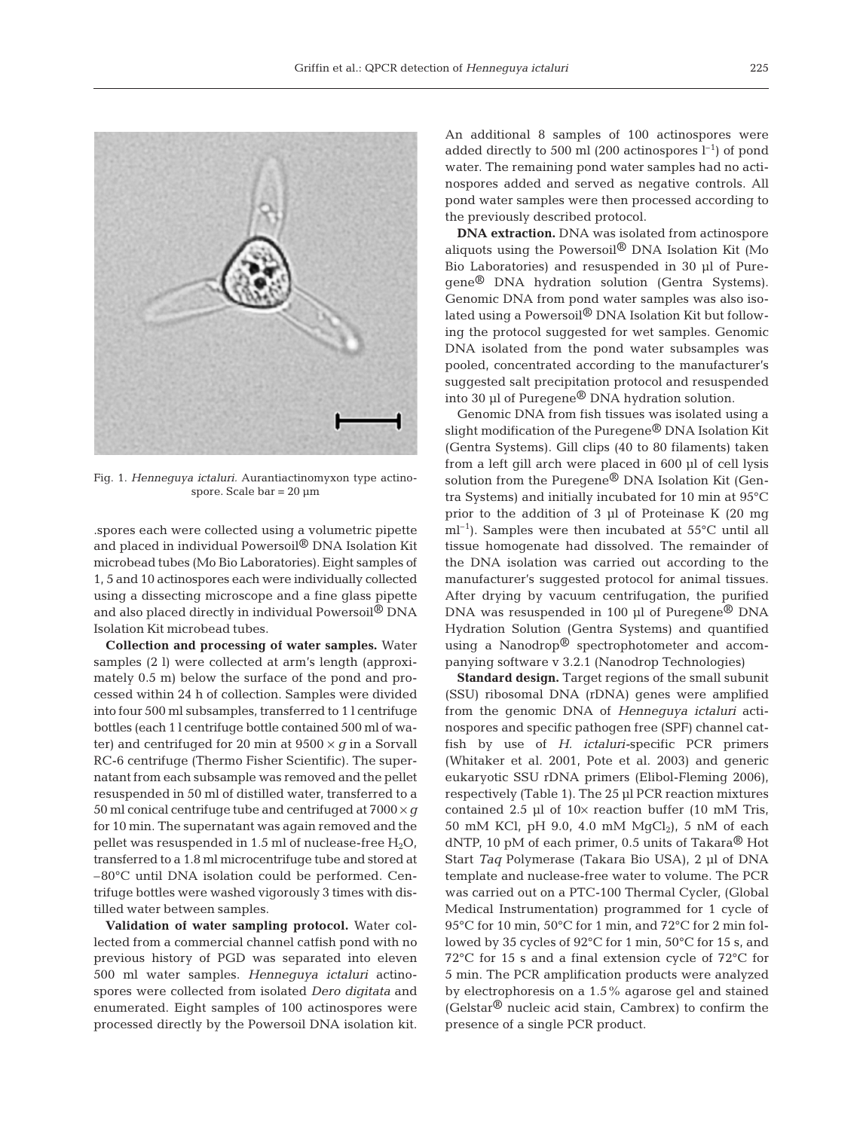

Fig. 1. *Henneguya ictaluri.* Aurantiactinomyxon type actinospore. Scale bar  $= 20 \mu m$ 

.spores each were collected using a volumetric pipette and placed in individual Powersoil® DNA Isolation Kit microbead tubes (Mo Bio Laboratories). Eight samples of 1, 5 and 10 actinospores each were individually collected using a dissecting microscope and a fine glass pipette and also placed directly in individual Powersoil® DNA Isolation Kit microbead tubes.

**Collection and processing of water samples.** Water samples (2 l) were collected at arm's length (approximately 0.5 m) below the surface of the pond and processed within 24 h of collection. Samples were divided into four 500 ml subsamples, transferred to 1 l centrifuge bottles (each 1 l centrifuge bottle contained 500 ml of water) and centrifuged for 20 min at  $9500 \times g$  in a Sorvall RC-6 centrifuge (Thermo Fisher Scientific). The supernatant from each subsample was removed and the pellet resuspended in 50 ml of distilled water, transferred to a 50 ml conical centrifuge tube and centrifuged at  $7000 \times g$ for 10 min. The supernatant was again removed and the pellet was resuspended in 1.5 ml of nuclease-free  $H_2O$ , transferred to a 1.8 ml microcentrifuge tube and stored at –80°C until DNA isolation could be performed. Centrifuge bottles were washed vigorously 3 times with distilled water between samples.

**Validation of water sampling protocol.** Water collected from a commercial channel catfish pond with no previous history of PGD was separated into eleven 500 ml water samples. *Henneguya ictaluri* actinospores were collected from isolated *Dero digitata* and enumerated. Eight samples of 100 actinospores were processed directly by the Powersoil DNA isolation kit. An additional 8 samples of 100 actinospores were added directly to 500 ml (200 actinospores  $l^{-1}$ ) of pond water. The remaining pond water samples had no actinospores added and served as negative controls. All pond water samples were then processed according to the previously described protocol.

**DNA extraction.** DNA was isolated from actinospore aliquots using the Powersoil® DNA Isolation Kit (Mo Bio Laboratories) and resuspended in 30 µl of Puregene® DNA hydration solution (Gentra Systems). Genomic DNA from pond water samples was also isolated using a Powersoil® DNA Isolation Kit but following the protocol suggested for wet samples. Genomic DNA isolated from the pond water subsamples was pooled, concentrated according to the manufacturer's suggested salt precipitation protocol and resuspended into 30 µl of Puregene® DNA hydration solution.

Genomic DNA from fish tissues was isolated using a slight modification of the Puregene® DNA Isolation Kit (Gentra Systems). Gill clips (40 to 80 filaments) taken from a left gill arch were placed in 600 µl of cell lysis solution from the Puregene® DNA Isolation Kit (Gentra Systems) and initially incubated for 10 min at 95°C prior to the addition of 3 µl of Proteinase K (20 mg  $ml<sup>-1</sup>$ ). Samples were then incubated at 55 $\degree$ C until all tissue homogenate had dissolved. The remainder of the DNA isolation was carried out according to the manufacturer's suggested protocol for animal tissues. After drying by vacuum centrifugation, the purified DNA was resuspended in 100 µl of Puregene<sup>®</sup> DNA Hydration Solution (Gentra Systems) and quantified using a Nanodrop® spectrophotometer and accompanying software v 3.2.1 (Nanodrop Technologies)

**Standard design.** Target regions of the small subunit (SSU) ribosomal DNA (rDNA) genes were amplified from the genomic DNA of *Henneguya ictaluri* actinospores and specific pathogen free (SPF) channel catfish by use of *H. ictaluri-*specific PCR primers (Whitaker et al. 2001, Pote et al. 2003) and generic eukaryotic SSU rDNA primers (Elibol-Fleming 2006), respectively (Table 1). The 25 µl PCR reaction mixtures contained 2.5 µl of  $10\times$  reaction buffer (10 mM Tris, 50 mM KCl, pH 9.0, 4.0 mM  $MgCl<sub>2</sub>$ ), 5 nM of each dNTP, 10 pM of each primer, 0.5 units of Takara® Hot Start *Taq* Polymerase (Takara Bio USA), 2 µl of DNA template and nuclease-free water to volume. The PCR was carried out on a PTC-100 Thermal Cycler, (Global Medical Instrumentation) programmed for 1 cycle of 95°C for 10 min, 50°C for 1 min, and 72°C for 2 min followed by 35 cycles of 92°C for 1 min, 50°C for 15 s, and 72°C for 15 s and a final extension cycle of 72°C for 5 min. The PCR amplification products were analyzed by electrophoresis on a 1.5% agarose gel and stained (Gelstar® nucleic acid stain, Cambrex) to confirm the presence of a single PCR product.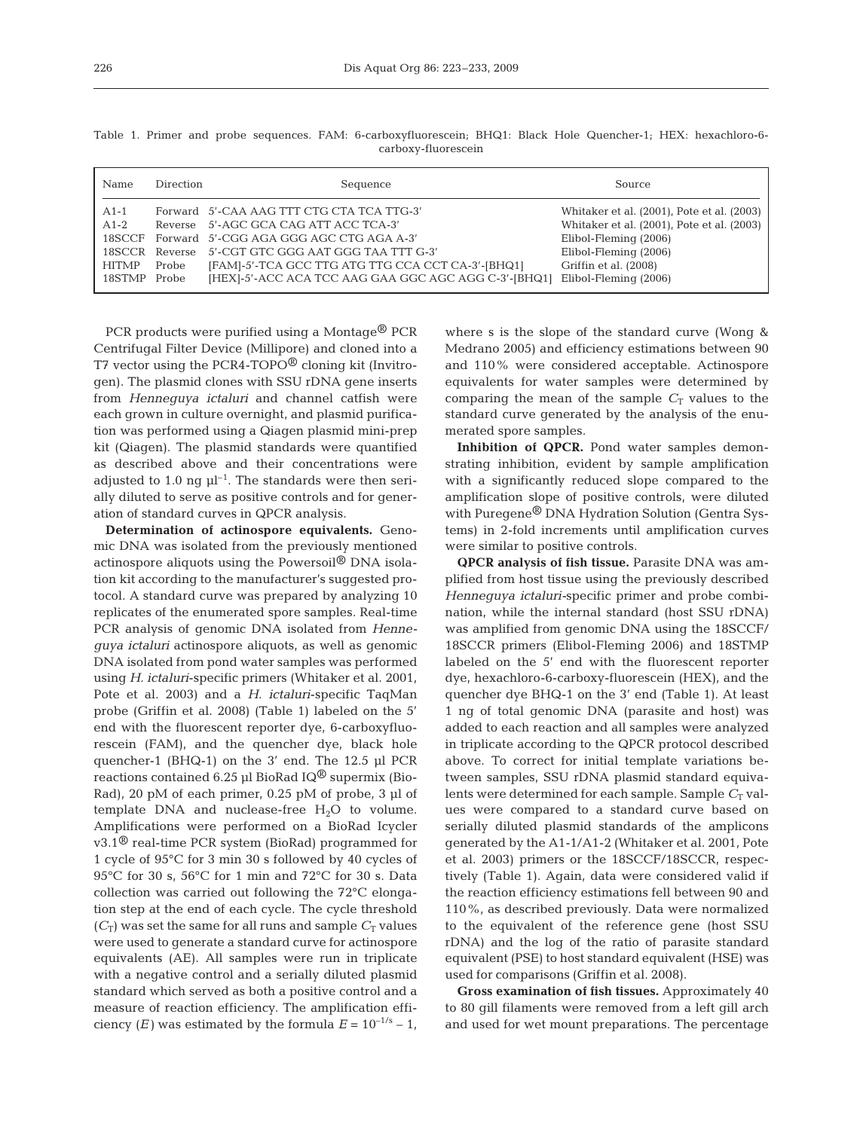| Name         | Direction | Sequence                                             | Source                                     |
|--------------|-----------|------------------------------------------------------|--------------------------------------------|
| $A1-1$       |           | Forward 5'-CAA AAG TTT CTG CTA TCA TTG-3'            | Whitaker et al. (2001), Pote et al. (2003) |
| $A1-2$       |           | Reverse 5'-AGC GCA CAG ATT ACC TCA-3'                | Whitaker et al. (2001), Pote et al. (2003) |
|              |           | 18SCCF Forward 5'-CGG AGA GGG AGC CTG AGA A-3'       | Elibol-Fleming (2006)                      |
|              |           | 18SCCR Reverse 5'-CGT GTC GGG AAT GGG TAA TTT G-3'   | Elibol-Fleming (2006)                      |
| HITMP        | Probe     | [FAM]-5'-TCA GCC TTG ATG TTG CCA CCT CA-3'-[BHQ1]    | Griffin et al. (2008)                      |
| 18STMP Probe |           | [HEX]-5'-ACC ACA TCC AAG GAA GGC AGC AGG C-3'-[BHQ1] | Elibol-Fleming (2006)                      |

Table 1. Primer and probe sequences. FAM: 6-carboxyfluorescein; BHQ1: Black Hole Quencher-1; HEX: hexachloro-6 carboxy-fluorescein

PCR products were purified using a Montage® PCR Centrifugal Filter Device (Millipore) and cloned into a T7 vector using the PCR4-TOPO<sup> $\circledR$ </sup> cloning kit (Invitrogen). The plasmid clones with SSU rDNA gene inserts from *Henneguya ictaluri* and channel catfish were each grown in culture overnight, and plasmid purification was performed using a Qiagen plasmid mini-prep kit (Qiagen). The plasmid standards were quantified as described above and their concentrations were adjusted to 1.0 ng  $\mu$ <sup>1-1</sup>. The standards were then serially diluted to serve as positive controls and for generation of standard curves in QPCR analysis.

**Determination of actinospore equivalents.** Genomic DNA was isolated from the previously mentioned actinospore aliquots using the Powersoil® DNA isolation kit according to the manufacturer's suggested protocol. A standard curve was prepared by analyzing 10 replicates of the enumerated spore samples. Real-time PCR analysis of genomic DNA isolated from *Henneguya ictaluri* actinospore aliquots, as well as genomic DNA isolated from pond water samples was performed using *H. ictaluri*-specific primers (Whitaker et al. 2001, Pote et al. 2003) and a *H. ictaluri*-specific TaqMan probe (Griffin et al. 2008) (Table 1) labeled on the 5' end with the fluorescent reporter dye, 6-carboxyfluorescein (FAM), and the quencher dye, black hole quencher-1 (BHQ-1) on the 3' end. The 12.5 µl PCR reactions contained 6.25 µl BioRad IQ<sup>®</sup> supermix (Bio-Rad), 20 pM of each primer, 0.25 pM of probe, 3 µl of template DNA and nuclease-free  $H_2O$  to volume. Amplifications were performed on a BioRad Icycler v3.1® real-time PCR system (BioRad) programmed for 1 cycle of 95°C for 3 min 30 s followed by 40 cycles of 95°C for 30 s, 56°C for 1 min and 72°C for 30 s. Data collection was carried out following the 72°C elongation step at the end of each cycle. The cycle threshold  $(C_T)$  was set the same for all runs and sample  $C_T$  values were used to generate a standard curve for actinospore equivalents (AE). All samples were run in triplicate with a negative control and a serially diluted plasmid standard which served as both a positive control and a measure of reaction efficiency. The amplification efficiency  $(E)$  was estimated by the formula  $E = 10^{-1/s} - 1$ ,

where s is the slope of the standard curve (Wong & Medrano 2005) and efficiency estimations between 90 and 110% were considered acceptable. Actinospore equivalents for water samples were determined by comparing the mean of the sample  $C_T$  values to the standard curve generated by the analysis of the enumerated spore samples.

**Inhibition of QPCR.** Pond water samples demonstrating inhibition, evident by sample amplification with a significantly reduced slope compared to the amplification slope of positive controls, were diluted with Puregene<sup>®</sup> DNA Hydration Solution (Gentra Systems) in 2-fold increments until amplification curves were similar to positive controls.

**QPCR analysis of fish tissue.** Parasite DNA was amplified from host tissue using the previously described *Henneguya ictaluri-*specific primer and probe combination, while the internal standard (host SSU rDNA) was amplified from genomic DNA using the 18SCCF/ 18SCCR primers (Elibol-Fleming 2006) and 18STMP labeled on the 5' end with the fluorescent reporter dye, hexachloro-6-carboxy-fluorescein (HEX), and the quencher dye BHQ-1 on the 3' end (Table 1). At least 1 ng of total genomic DNA (parasite and host) was added to each reaction and all samples were analyzed in triplicate according to the QPCR protocol described above. To correct for initial template variations between samples, SSU rDNA plasmid standard equivalents were determined for each sample. Sample  $C_T$  values were compared to a standard curve based on serially diluted plasmid standards of the amplicons generated by the A1-1/A1-2 (Whitaker et al. 2001, Pote et al. 2003) primers or the 18SCCF/18SCCR, respectively (Table 1). Again, data were considered valid if the reaction efficiency estimations fell between 90 and 110%, as described previously. Data were normalized to the equivalent of the reference gene (host SSU rDNA) and the log of the ratio of parasite standard equivalent (PSE) to host standard equivalent (HSE) was used for comparisons (Griffin et al. 2008).

**Gross examination of fish tissues.** Approximately 40 to 80 gill filaments were removed from a left gill arch and used for wet mount preparations. The percentage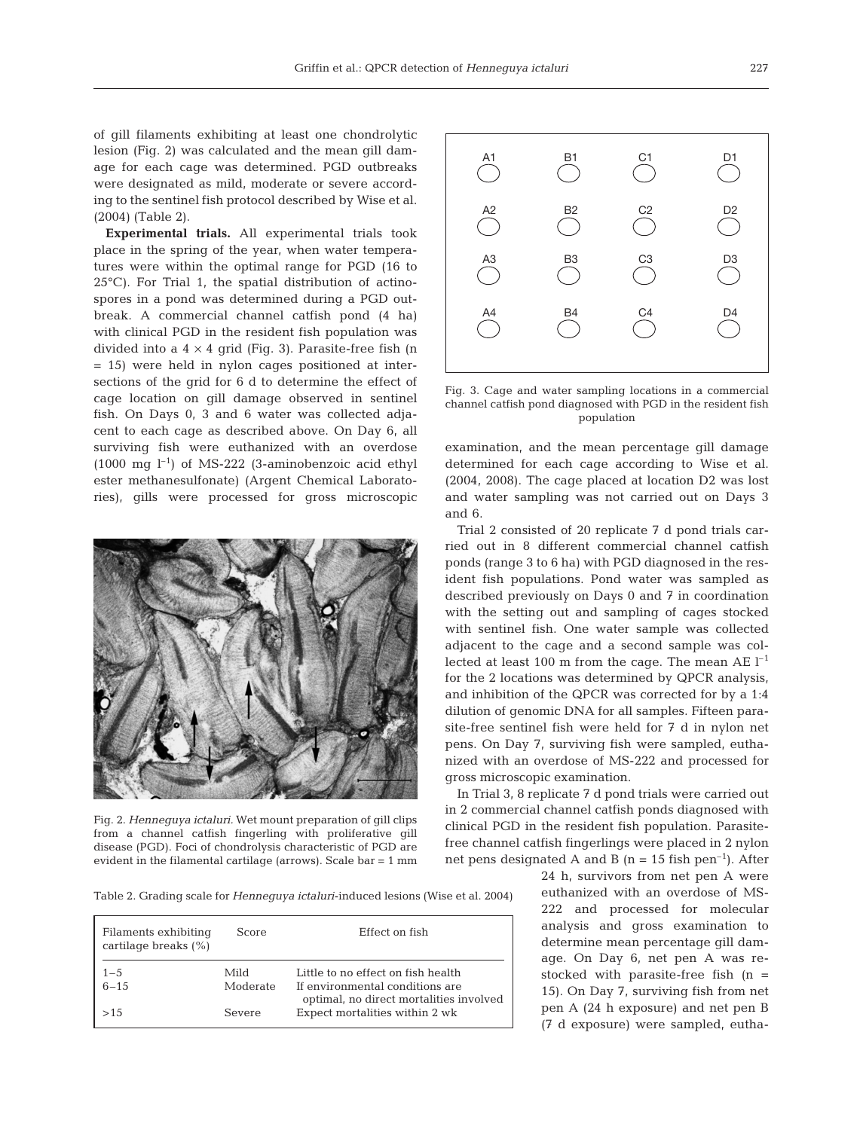of gill filaments exhibiting at least one chondrolytic lesion (Fig. 2) was calculated and the mean gill damage for each cage was determined. PGD outbreaks were designated as mild, moderate or severe according to the sentinel fish protocol described by Wise et al. (2004) (Table 2).

**Experimental trials.** All experimental trials took place in the spring of the year, when water temperatures were within the optimal range for PGD (16 to 25°C). For Trial 1, the spatial distribution of actinospores in a pond was determined during a PGD outbreak. A commercial channel catfish pond (4 ha) with clinical PGD in the resident fish population was divided into a  $4 \times 4$  grid (Fig. 3). Parasite-free fish (n = 15) were held in nylon cages positioned at intersections of the grid for 6 d to determine the effect of cage location on gill damage observed in sentinel fish. On Days 0, 3 and 6 water was collected adjacent to each cage as described above. On Day 6, all surviving fish were euthanized with an overdose  $(1000 \text{ mg } l^{-1})$  of MS-222 (3-aminobenzoic acid ethyl ester methanesulfonate) (Argent Chemical Laboratories), gills were processed for gross microscopic



Fig. 2. *Henneguya ictaluri.* Wet mount preparation of gill clips from a channel catfish fingerling with proliferative gill disease (PGD). Foci of chondrolysis characteristic of PGD are evident in the filamental cartilage (arrows). Scale bar = 1 mm

Table 2. Grading scale for *Henneguya ictaluri*-induced lesions (Wise et al. 2004)

| Filaments exhibiting<br>cartilage breaks $(\% )$ | Score            | Effect on fish                                                            |  |  |  |
|--------------------------------------------------|------------------|---------------------------------------------------------------------------|--|--|--|
| $1 - 5$<br>$6 - 15$                              | Mild<br>Moderate | Little to no effect on fish health<br>If environmental conditions are     |  |  |  |
| >1.5                                             | Severe           | optimal, no direct mortalities involved<br>Expect mortalities within 2 wk |  |  |  |



Fig. 3. Cage and water sampling locations in a commercial channel catfish pond diagnosed with PGD in the resident fish population

examination, and the mean percentage gill damage determined for each cage according to Wise et al. (2004, 2008). The cage placed at location D2 was lost and water sampling was not carried out on Days 3 and 6.

Trial 2 consisted of 20 replicate 7 d pond trials carried out in 8 different commercial channel catfish ponds (range 3 to 6 ha) with PGD diagnosed in the resident fish populations. Pond water was sampled as described previously on Days 0 and 7 in coordination with the setting out and sampling of cages stocked with sentinel fish. One water sample was collected adjacent to the cage and a second sample was collected at least 100 m from the cage. The mean AE  $l^{-1}$ for the 2 locations was determined by QPCR analysis, and inhibition of the QPCR was corrected for by a 1:4 dilution of genomic DNA for all samples. Fifteen parasite-free sentinel fish were held for 7 d in nylon net pens. On Day 7, surviving fish were sampled, euthanized with an overdose of MS-222 and processed for gross microscopic examination.

In Trial 3, 8 replicate 7 d pond trials were carried out in 2 commercial channel catfish ponds diagnosed with clinical PGD in the resident fish population. Parasitefree channel catfish fingerlings were placed in 2 nylon net pens designated A and B  $(n = 15$  fish pen<sup>-1</sup>). After

> 24 h, survivors from net pen A were euthanized with an overdose of MS-222 and processed for molecular analysis and gross examination to determine mean percentage gill damage. On Day 6, net pen A was restocked with parasite-free fish (n = 15). On Day 7, surviving fish from net pen A (24 h exposure) and net pen B (7 d exposure) were sampled, eutha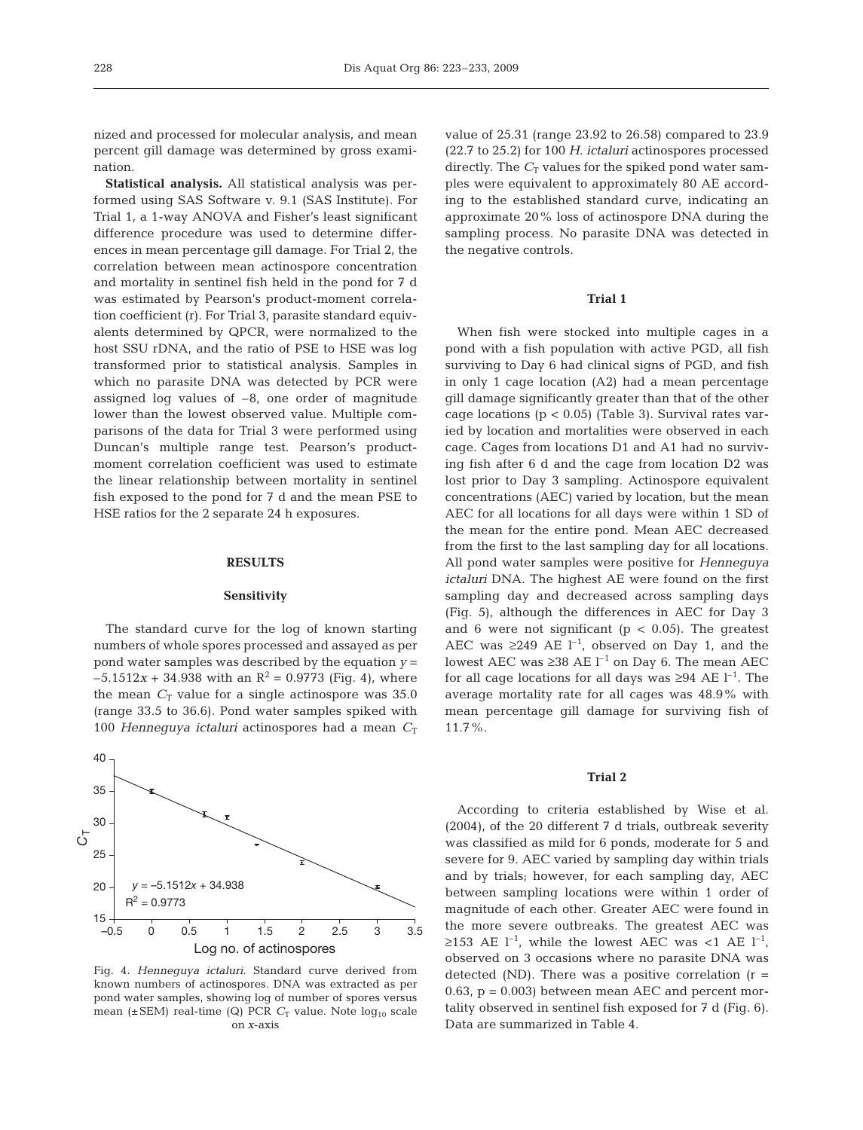nized and processed for molecular analysis, and mean percent gill damage was determined by gross examination.

**Statistical analysis.** All statistical analysis was performed using SAS Software v. 9.1 (SAS Institute). For Trial 1, a 1-way ANOVA and Fisher's least significant difference procedure was used to determine differences in mean percentage gill damage. For Trial 2, the correlation between mean actinospore concentration and mortality in sentinel fish held in the pond for 7 d was estimated by Pearson's product-moment correlation coefficient (r). For Trial 3, parasite standard equivalents determined by QPCR, were normalized to the host SSU rDNA, and the ratio of PSE to HSE was log transformed prior to statistical analysis. Samples in which no parasite DNA was detected by PCR were assigned log values of  $-8$ , one order of magnitude lower than the lowest observed value. Multiple comparisons of the data for Trial 3 were performed using Duncan's multiple range test. Pearson's productmoment correlation coefficient was used to estimate the linear relationship between mortality in sentinel fish exposed to the pond for 7 d and the mean PSE to HSE ratios for the 2 separate 24 h exposures.

# **RESULTS**

# **Sensitivity**

The standard curve for the log of known starting numbers of whole spores processed and assayed as per pond water samples was described by the equation *y* =  $-5.1512x + 34.938$  with an  $R^2 = 0.9773$  (Fig. 4), where the mean  $C_T$  value for a single actinospore was 35.0 (range 33.5 to 36.6). Pond water samples spiked with 100 *Henneguya ictaluri* actinospores had a mean  $C_T$ 



Fig. 4. *Henneguya ictaluri*. Standard curve derived from known numbers of actinospores. DNA was extracted as per pond water samples, showing log of number of spores versus mean ( $\pm$ SEM) real-time (Q) PCR  $C_T$  value. Note  $log_{10}$  scale on *x*-axis

value of 25.31 (range 23.92 to 26.58) compared to 23.9 (22.7 to 25.2) for 100 *H. ictaluri* actinospores processed directly. The  $C_T$  values for the spiked pond water samples were equivalent to approximately 80 AE according to the established standard curve, indicating an approximate 20% loss of actinospore DNA during the sampling process. No parasite DNA was detected in the negative controls.

# **Trial 1**

When fish were stocked into multiple cages in a pond with a fish population with active PGD, all fish surviving to Day 6 had clinical signs of PGD, and fish in only 1 cage location (A2) had a mean percentage gill damage significantly greater than that of the other cage locations (p < 0.05) (Table 3). Survival rates varied by location and mortalities were observed in each cage. Cages from locations D1 and A1 had no surviving fish after 6 d and the cage from location D2 was lost prior to Day 3 sampling. Actinospore equivalent concentrations (AEC) varied by location, but the mean AEC for all locations for all days were within 1 SD of the mean for the entire pond. Mean AEC decreased from the first to the last sampling day for all locations. All pond water samples were positive for *Henneguya ictaluri* DNA. The highest AE were found on the first sampling day and decreased across sampling days (Fig. 5), although the differences in AEC for Day 3 and 6 were not significant ( $p < 0.05$ ). The greatest AEC was  $\geq 249$  AE  $1^{-1}$ , observed on Day 1, and the lowest AEC was ≥38 AE  $l^{-1}$  on Day 6. The mean AEC for all cage locations for all days was  $\geq 94$  AE l<sup>-1</sup>. The average mortality rate for all cages was 48.9% with mean percentage gill damage for surviving fish of 11.7%.

# **Trial 2**

According to criteria established by Wise et al. (2004), of the 20 different 7 d trials, outbreak severity was classified as mild for 6 ponds, moderate for 5 and severe for 9. AEC varied by sampling day within trials and by trials; however, for each sampling day, AEC between sampling locations were within 1 order of magnitude of each other. Greater AEC were found in the more severe outbreaks. The greatest AEC was ≥153 AE  $l^{-1}$ , while the lowest AEC was <1 AE  $l^{-1}$ , observed on 3 occasions where no parasite DNA was detected (ND). There was a positive correlation  $(r =$  $(0.63, p = 0.003)$  between mean AEC and percent mortality observed in sentinel fish exposed for 7 d (Fig. 6). Data are summarized in Table 4.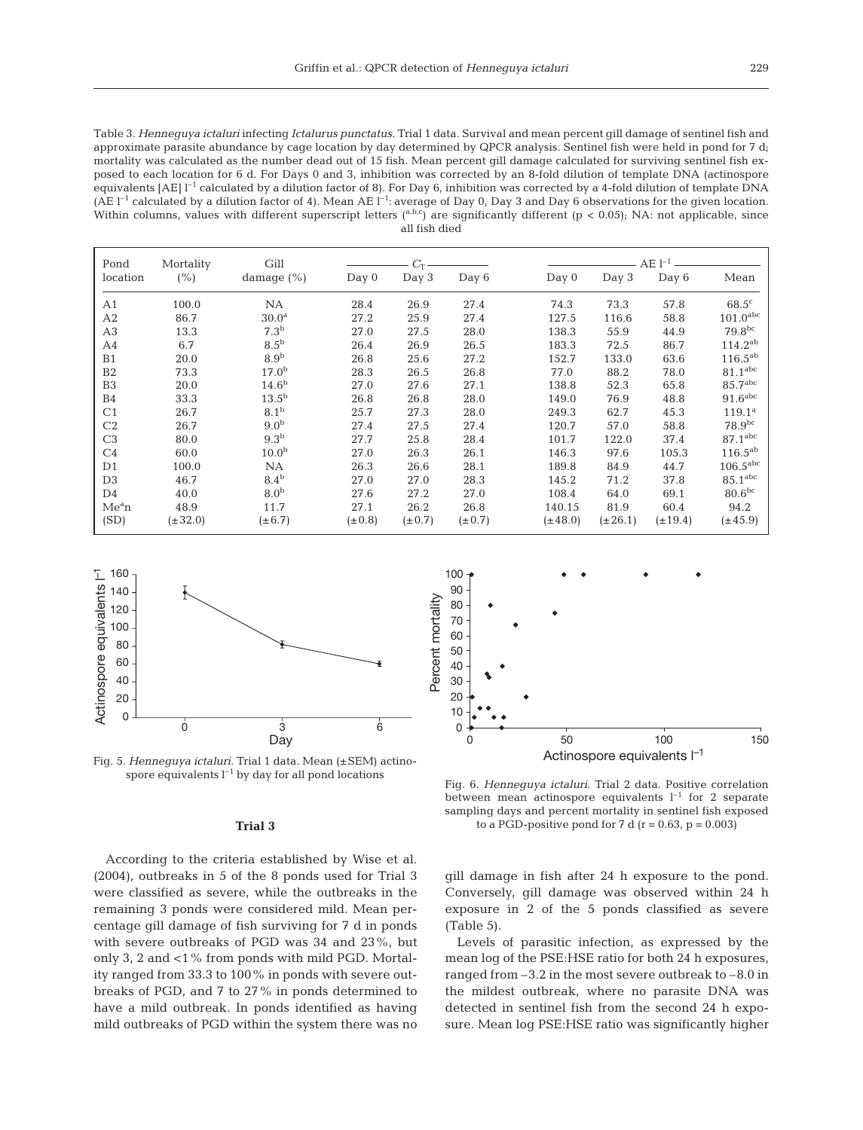Table 3. *Henneguya ictaluri* infecting *Ictalurus punctatus*. Trial 1 data. Survival and mean percent gill damage of sentinel fish and approximate parasite abundance by cage location by day determined by QPCR analysis. Sentinel fish were held in pond for 7 d; mortality was calculated as the number dead out of 15 fish. Mean percent gill damage calculated for surviving sentinel fish exposed to each location for 6 d. For Days 0 and 3, inhibition was corrected by an 8-fold dilution of template DNA (actinospore equivalents  $[AE]$  <sup>1-1</sup> calculated by a dilution factor of 8). For Day 6, inhibition was corrected by a 4-fold dilution of template DNA (AE  $l^{-1}$  calculated by a dilution factor of 4). Mean AE  $l^{-1}$ : average of Day 0, Day 3 and Day 6 observations for the given location. Within columns, values with different superscript letters  $(^{a,b,c})$  are significantly different  $(p < 0.05)$ ; NA: not applicable, since all fish died

| Pond              | Mortality    | Gill              |             | Сπ          |             | $\rm{AE}$ l $^{-1}$ |              |              |              |                        |
|-------------------|--------------|-------------------|-------------|-------------|-------------|---------------------|--------------|--------------|--------------|------------------------|
| location          | $(\% )$      | damage $(\% )$    | Day 0       | Day 3       | Day 6       |                     | Day 0        | Day 3        | Day 6        | Mean                   |
| A1                | 100.0        | <b>NA</b>         | 28.4        | 26.9        | 27.4        |                     | 74.3         | 73.3         | 57.8         | $68.5^{\circ}$         |
| A2                | 86.7         | 30.0 <sup>a</sup> | 27.2        | 25.9        | 27.4        |                     | 127.5        | 116.6        | 58.8         | $101.0$ abc            |
| A3                | 13.3         | 7.3 <sup>b</sup>  | 27.0        | 27.5        | 28.0        |                     | 138.3        | 55.9         | 44.9         | 79.8 <sup>bc</sup>     |
| A4                | 6.7          | 8.5 <sup>b</sup>  | 26.4        | 26.9        | 26.5        |                     | 183.3        | 72.5         | 86.7         | $114.2^{ab}$           |
| B1                | 20.0         | 8.9 <sup>b</sup>  | 26.8        | 25.6        | 27.2        |                     | 152.7        | 133.0        | 63.6         | $116.5^{ab}$           |
| B <sub>2</sub>    | 73.3         | 17.0 <sup>b</sup> | 28.3        | 26.5        | 26.8        |                     | 77.0         | 88.2         | 78.0         | 81.1 <sup>abc</sup>    |
| B <sub>3</sub>    | 20.0         | 14.6 <sup>b</sup> | 27.0        | 27.6        | 27.1        |                     | 138.8        | 52.3         | 65.8         | $85.7$ <sup>abc</sup>  |
| B <sub>4</sub>    | 33.3         | $13.5^{b}$        | 26.8        | 26.8        | 28.0        |                     | 149.0        | 76.9         | 48.8         | $91.6$ <sup>abc</sup>  |
| C <sub>1</sub>    | 26.7         | 8.1 <sup>b</sup>  | 25.7        | 27.3        | 28.0        |                     | 249.3        | 62.7         | 45.3         | $119.1^a$              |
| C2                | 26.7         | 9.0 <sup>b</sup>  | 27.4        | 27.5        | 27.4        |                     | 120.7        | 57.0         | 58.8         | $78.9^{bc}$            |
| C <sub>3</sub>    | 80.0         | 9.3 <sup>b</sup>  | 27.7        | 25.8        | 28.4        |                     | 101.7        | 122.0        | 37.4         | 87.1 <sup>abc</sup>    |
| C <sub>4</sub>    | 60.0         | 10.0 <sup>b</sup> | 27.0        | 26.3        | 26.1        |                     | 146.3        | 97.6         | 105.3        | $116.5^{ab}$           |
| D <sub>1</sub>    | 100.0        | NA                | 26.3        | 26.6        | 28.1        |                     | 189.8        | 84.9         | 44.7         | $106.5$ <sup>abc</sup> |
| D <sub>3</sub>    | 46.7         | 8.4 <sup>b</sup>  | 27.0        | 27.0        | 28.3        |                     | 145.2        | 71.2         | 37.8         | 85.1 <sup>abc</sup>    |
| D <sub>4</sub>    | 40.0         | 8.0 <sup>b</sup>  | 27.6        | 27.2        | 27.0        |                     | 108.4        | 64.0         | 69.1         | 80.6 <sup>bc</sup>     |
| Me <sup>a</sup> n | 48.9         | 11.7              | 27.1        | 26.2        | 26.8        |                     | 140.15       | 81.9         | 60.4         | 94.2                   |
| (SD)              | $(\pm 32.0)$ | $(\pm 6.7)$       | $(\pm 0.8)$ | $(\pm 0.7)$ | $(\pm 0.7)$ |                     | $(\pm 48.0)$ | $(\pm 26.1)$ | $(\pm 19.4)$ | $(\pm 45.9)$           |



Fig. 5. *Henneguya ictaluri.* Trial 1 data. Mean (±SEM) actinospore equivalents  $l^{-1}$  by day for all pond locations

#### **Trial 3**

According to the criteria established by Wise et al. (2004), outbreaks in 5 of the 8 ponds used for Trial 3 were classified as severe, while the outbreaks in the remaining 3 ponds were considered mild. Mean percentage gill damage of fish surviving for 7 d in ponds with severe outbreaks of PGD was 34 and 23%, but only 3, 2 and <1% from ponds with mild PGD. Mortality ranged from 33.3 to 100% in ponds with severe outbreaks of PGD, and 7 to 27% in ponds determined to have a mild outbreak. In ponds identified as having mild outbreaks of PGD within the system there was no



Fig. 6. *Henneguya ictaluri.* Trial 2 data. Positive correlation between mean actinospore equivalents  $l^{-1}$  for 2 separate sampling days and percent mortality in sentinel fish exposed to a PGD-positive pond for 7 d ( $r = 0.63$ ,  $p = 0.003$ )

gill damage in fish after 24 h exposure to the pond. Conversely, gill damage was observed within 24 h exposure in 2 of the 5 ponds classified as severe (Table 5).

Levels of parasitic infection, as expressed by the mean log of the PSE:HSE ratio for both 24 h exposures, ranged from –3.2 in the most severe outbreak to –8.0 in the mildest outbreak, where no parasite DNA was detected in sentinel fish from the second 24 h exposure. Mean log PSE:HSE ratio was significantly higher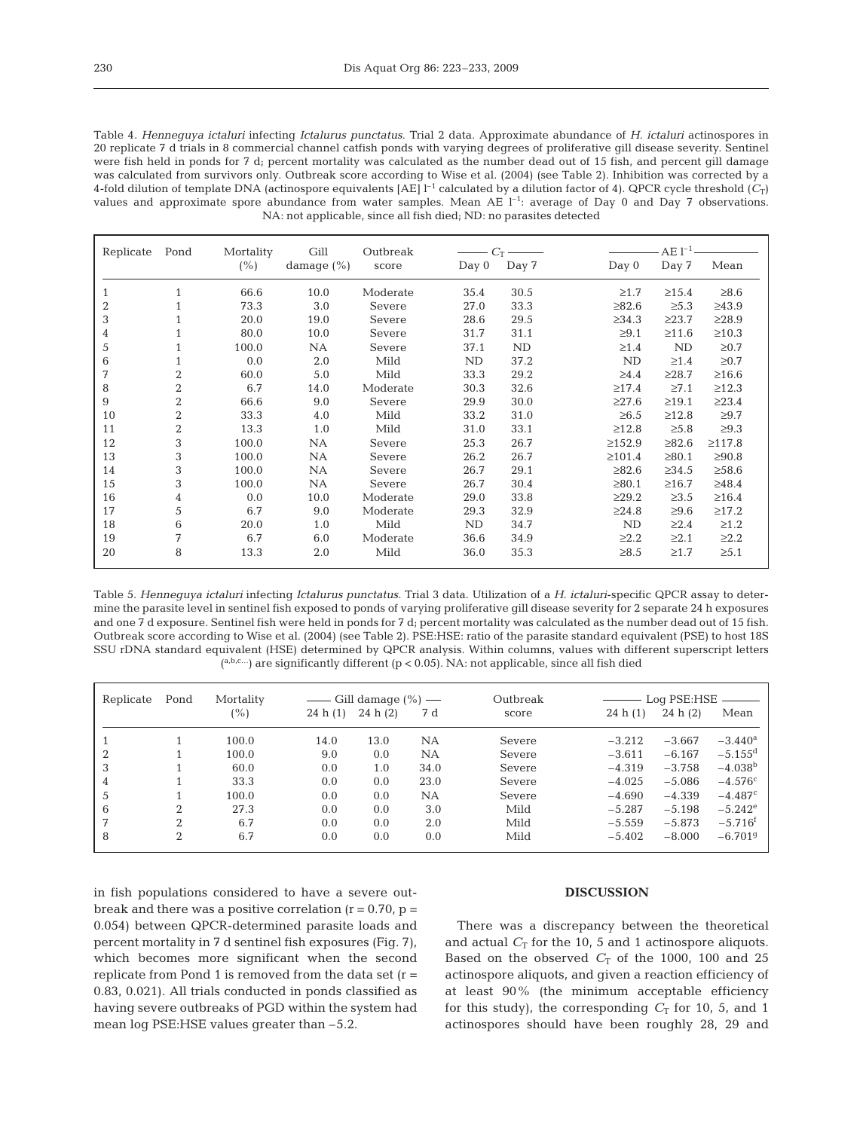Table 4. *Henneguya ictaluri* infecting *Ictalurus punctatus*. Trial 2 data. Approximate abundance of *H. ictaluri* actinospores in 20 replicate 7 d trials in 8 commercial channel catfish ponds with varying degrees of proliferative gill disease severity. Sentinel were fish held in ponds for 7 d; percent mortality was calculated as the number dead out of 15 fish, and percent gill damage was calculated from survivors only. Outbreak score according to Wise et al. (2004) (see Table 2). Inhibition was corrected by a 4-fold dilution of template DNA (actinospore equivalents  $[AE]$ <sup>1-1</sup> calculated by a dilution factor of 4). QPCR cycle threshold  $(C_T)$ values and approximate spore abundance from water samples. Mean AE  $I^{-1}$ : average of Day 0 and Day 7 observations. NA: not applicable, since all fish died; ND: no parasites detected

| Replicate        | Pond           | Mortality | Gill           | Outbreak | $C_{\rm T}$ |       |              | $AE1^{-1}$  |              |  |  |
|------------------|----------------|-----------|----------------|----------|-------------|-------|--------------|-------------|--------------|--|--|
|                  |                | (% )      | damage $(\% )$ | score    | Day 0       | Day 7 | Day 0        | Day 7       | Mean         |  |  |
| $\mathbf{1}$     | 1              | 66.6      | 10.0           | Moderate | 35.4        | 30.5  | $\geq 1.7$   | $\geq 15.4$ | $\geq 8.6$   |  |  |
| $\boldsymbol{2}$ | 1              | 73.3      | 3.0            | Severe   | 27.0        | 33.3  | $\geq 82.6$  | $\geq 5.3$  | >43.9        |  |  |
| 3                | 1              | 20.0      | 19.0           | Severe   | 28.6        | 29.5  | $\geq 34.3$  | $\geq$ 23.7 | >28.9        |  |  |
| 4                |                | 80.0      | 10.0           | Severe   | 31.7        | 31.1  | $\geq 9.1$   | $\geq 11.6$ | $\geq 10.3$  |  |  |
| 5                | 1              | 100.0     | NA             | Severe   | 37.1        | ND    | $\geq 1.4$   | ND          | $\geq 0.7$   |  |  |
| 6                |                | 0.0       | 2.0            | Mild     | ND          | 37.2  | ND           | $\geq 1.4$  | $\geq 0.7$   |  |  |
| 7                | $\overline{2}$ | 60.0      | 5.0            | Mild     | 33.3        | 29.2  | $\geq 4.4$   | $\geq 28.7$ | $\geq 16.6$  |  |  |
| 8                | $\overline{2}$ | 6.7       | 14.0           | Moderate | 30.3        | 32.6  | $\geq 17.4$  | $\geq 7.1$  | $\geq 12.3$  |  |  |
| 9                | $\overline{2}$ | 66.6      | 9.0            | Severe   | 29.9        | 30.0  | $\geq$ 27.6  | $\geq 19.1$ | $\geq$ 23.4  |  |  |
| 10               | $\overline{2}$ | 33.3      | 4.0            | Mild     | 33.2        | 31.0  | $\geq 6.5$   | $\geq 12.8$ | $\geq 9.7$   |  |  |
| 11               | $\overline{2}$ | 13.3      | 1.0            | Mild     | 31.0        | 33.1  | $\geq 12.8$  | $\geq 5.8$  | $\geq 9.3$   |  |  |
| 12               | 3              | 100.0     | NA             | Severe   | 25.3        | 26.7  | $\geq 152.9$ | $\geq 82.6$ | $\geq 117.8$ |  |  |
| 13               | 3              | 100.0     | NA             | Severe   | 26.2        | 26.7  | $\geq 101.4$ | $\geq 80.1$ | $\geq 90.8$  |  |  |
| 14               | 3              | 100.0     | NA             | Severe   | 26.7        | 29.1  | $\geq 82.6$  | $\geq 34.5$ | $\geq 58.6$  |  |  |
| 15               | 3              | 100.0     | NA             | Severe   | 26.7        | 30.4  | $\geq 80.1$  | $\geq 16.7$ | $\geq 48.4$  |  |  |
| 16               | 4              | 0.0       | 10.0           | Moderate | 29.0        | 33.8  | $\geq$ 29.2  | $\geq 3.5$  | $\geq 16.4$  |  |  |
| 17               | 5              | 6.7       | 9.0            | Moderate | 29.3        | 32.9  | $\geq 24.8$  | $\geq 9.6$  | $\geq 17.2$  |  |  |
| 18               | 6              | 20.0      | 1.0            | Mild     | ND          | 34.7  | ND           | $\geq 2.4$  | $\geq 1.2$   |  |  |
| 19               | 7              | 6.7       | 6.0            | Moderate | 36.6        | 34.9  | $\geq 2.2$   | $\geq 2.1$  | $\geq 2.2$   |  |  |
| 20               | 8              | 13.3      | 2.0            | Mild     | 36.0        | 35.3  | $\geq 8.5$   | $\geq1.7$   | $\geq 5.1$   |  |  |

Table 5. *Henneguya ictaluri* infecting *Ictalurus punctatus.* Trial 3 data. Utilization of a *H. ictaluri*-specific QPCR assay to determine the parasite level in sentinel fish exposed to ponds of varying proliferative gill disease severity for 2 separate 24 h exposures and one 7 d exposure. Sentinel fish were held in ponds for 7 d; percent mortality was calculated as the number dead out of 15 fish. Outbreak score according to Wise et al. (2004) (see Table 2). PSE:HSE: ratio of the parasite standard equivalent (PSE) to host 18S SSU rDNA standard equivalent (HSE) determined by QPCR analysis. Within columns, values with different superscript letters  $({}^{a,b,c...})$  are significantly different (p < 0.05). NA: not applicable, since all fish died

| Replicate | Pond           | Mortality | —— Gill damage $(\% )$ — |         |           | Outbreak | Log PSE:HSE - |          |                       |
|-----------|----------------|-----------|--------------------------|---------|-----------|----------|---------------|----------|-----------------------|
|           |                | (%)       | 24 h(1)                  | 24 h(2) | 7 d       | score    | 24 h(1)       | 24 h(2)  | Mean                  |
|           |                | 100.0     | 14.0                     | 13.0    | <b>NA</b> | Severe   | $-3.212$      | $-3.667$ | $-3.440^{\rm a}$      |
|           |                | 100.0     | 9.0                      | 0.0     | <b>NA</b> | Severe   | $-3.611$      | $-6.167$ | $-5.155$ <sup>d</sup> |
| 3         |                | 60.0      | 0.0                      | 1.0     | 34.0      | Severe   | $-4.319$      | $-3.758$ | $-4.038b$             |
| 4         |                | 33.3      | 0.0                      | 0.0     | 23.0      | Severe   | $-4.025$      | $-5.086$ | $-4.576c$             |
| 5         |                | 100.0     | 0.0                      | 0.0     | <b>NA</b> | Severe   | $-4.690$      | $-4.339$ | $-4.487c$             |
| 6         | $\mathfrak{D}$ | 27.3      | 0.0                      | 0.0     | 3.0       | Mild     | $-5.287$      | $-5.198$ | $-5.242^{\circ}$      |
| 7         | $\mathfrak{D}$ | 6.7       | 0.0                      | 0.0     | 2.0       | Mild     | $-5.559$      | $-5.873$ | $-5.716$ <sup>t</sup> |
| 8         | $\overline{2}$ | 6.7       | 0.0                      | 0.0     | 0.0       | Mild     | $-5.402$      | $-8.000$ | $-6.7019$             |

in fish populations considered to have a severe outbreak and there was a positive correlation  $(r = 0.70, p =$ 0.054) between QPCR-determined parasite loads and percent mortality in 7 d sentinel fish exposures (Fig. 7), which becomes more significant when the second replicate from Pond 1 is removed from the data set  $(r =$ 0.83, 0.021). All trials conducted in ponds classified as having severe outbreaks of PGD within the system had mean log PSE:HSE values greater than –5.2.

## **DISCUSSION**

There was a discrepancy between the theoretical and actual  $C_T$  for the 10, 5 and 1 actinospore aliquots. Based on the observed  $C_T$  of the 1000, 100 and 25 actinospore aliquots, and given a reaction efficiency of at least 90% (the minimum acceptable efficiency for this study), the corresponding  $C_T$  for 10, 5, and 1 actinospores should have been roughly 28, 29 and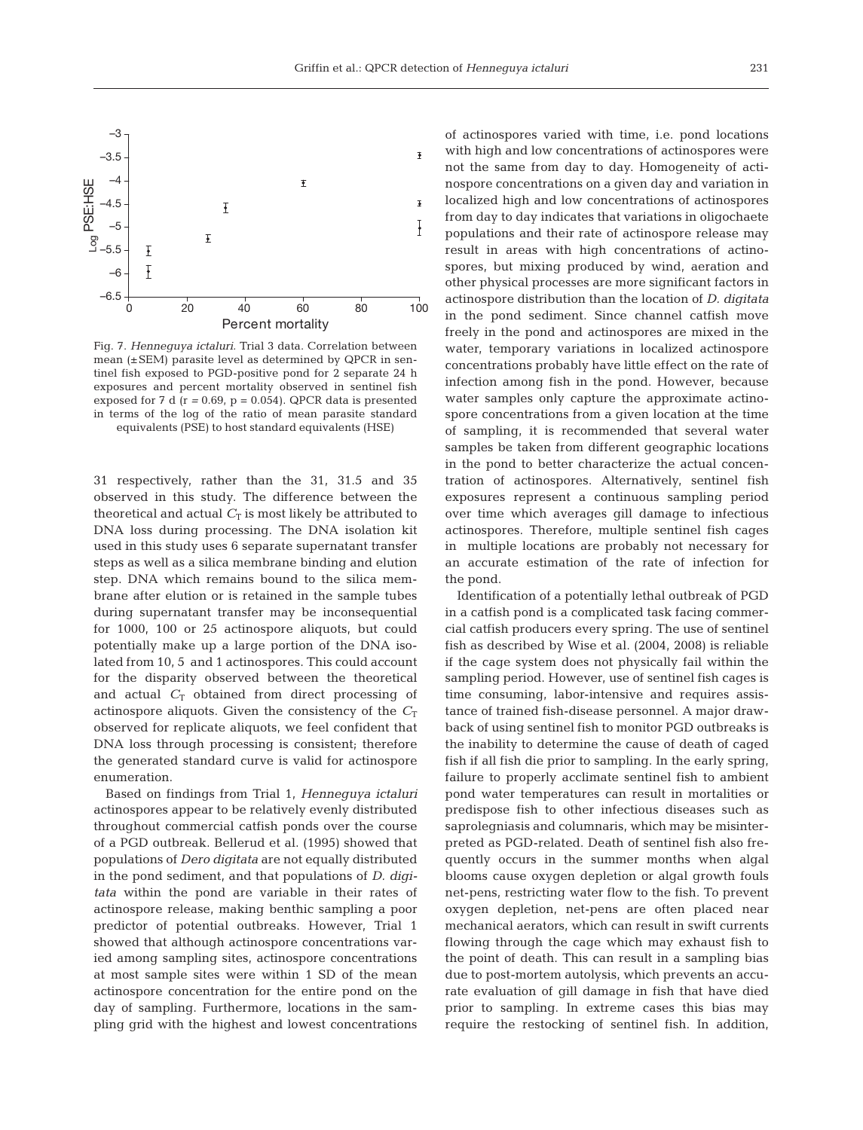

Fig. 7. *Henneguya ictaluri.* Trial 3 data. Correlation between mean (±SEM) parasite level as determined by QPCR in sentinel fish exposed to PGD-positive pond for 2 separate 24 h exposures and percent mortality observed in sentinel fish exposed for 7 d (r *=* 0.69, p = 0.054). QPCR data is presented in terms of the log of the ratio of mean parasite standard equivalents (PSE) to host standard equivalents (HSE)

31 respectively, rather than the 31, 31.5 and 35 observed in this study. The difference between the theoretical and actual  $C_T$  is most likely be attributed to DNA loss during processing. The DNA isolation kit used in this study uses 6 separate supernatant transfer steps as well as a silica membrane binding and elution step. DNA which remains bound to the silica membrane after elution or is retained in the sample tubes during supernatant transfer may be inconsequential for 1000, 100 or 25 actinospore aliquots, but could potentially make up a large portion of the DNA isolated from 10, 5 and 1 actinospores. This could account for the disparity observed between the theoretical and actual  $C_T$  obtained from direct processing of actinospore aliquots. Given the consistency of the  $C_T$ observed for replicate aliquots, we feel confident that DNA loss through processing is consistent; therefore the generated standard curve is valid for actinospore enumeration.

Based on findings from Trial 1, *Henneguya ictaluri* actinospores appear to be relatively evenly distributed throughout commercial catfish ponds over the course of a PGD outbreak. Bellerud et al. (1995) showed that populations of *Dero digitata* are not equally distributed in the pond sediment, and that populations of *D. digitata* within the pond are variable in their rates of actinospore release, making benthic sampling a poor predictor of potential outbreaks. However, Trial 1 showed that although actinospore concentrations varied among sampling sites, actinospore concentrations at most sample sites were within 1 SD of the mean actinospore concentration for the entire pond on the day of sampling. Furthermore, locations in the sampling grid with the highest and lowest concentrations

of actinospores varied with time, i.e. pond locations with high and low concentrations of actinospores were not the same from day to day. Homogeneity of actinospore concentrations on a given day and variation in localized high and low concentrations of actinospores from day to day indicates that variations in oligochaete populations and their rate of actinospore release may result in areas with high concentrations of actinospores, but mixing produced by wind, aeration and other physical processes are more significant factors in actinospore distribution than the location of *D. digitata* in the pond sediment. Since channel catfish move freely in the pond and actinospores are mixed in the water, temporary variations in localized actinospore concentrations probably have little effect on the rate of infection among fish in the pond. However, because water samples only capture the approximate actinospore concentrations from a given location at the time of sampling, it is recommended that several water samples be taken from different geographic locations in the pond to better characterize the actual concentration of actinospores. Alternatively, sentinel fish exposures represent a continuous sampling period over time which averages gill damage to infectious actinospores. Therefore, multiple sentinel fish cages in multiple locations are probably not necessary for an accurate estimation of the rate of infection for the pond.

Identification of a potentially lethal outbreak of PGD in a catfish pond is a complicated task facing commercial catfish producers every spring. The use of sentinel fish as described by Wise et al. (2004, 2008) is reliable if the cage system does not physically fail within the sampling period. However, use of sentinel fish cages is time consuming, labor-intensive and requires assistance of trained fish-disease personnel. A major drawback of using sentinel fish to monitor PGD outbreaks is the inability to determine the cause of death of caged fish if all fish die prior to sampling. In the early spring, failure to properly acclimate sentinel fish to ambient pond water temperatures can result in mortalities or predispose fish to other infectious diseases such as saprolegniasis and columnaris, which may be misinterpreted as PGD-related. Death of sentinel fish also frequently occurs in the summer months when algal blooms cause oxygen depletion or algal growth fouls net-pens, restricting water flow to the fish. To prevent oxygen depletion, net-pens are often placed near mechanical aerators, which can result in swift currents flowing through the cage which may exhaust fish to the point of death. This can result in a sampling bias due to post-mortem autolysis, which prevents an accurate evaluation of gill damage in fish that have died prior to sampling. In extreme cases this bias may require the restocking of sentinel fish. In addition,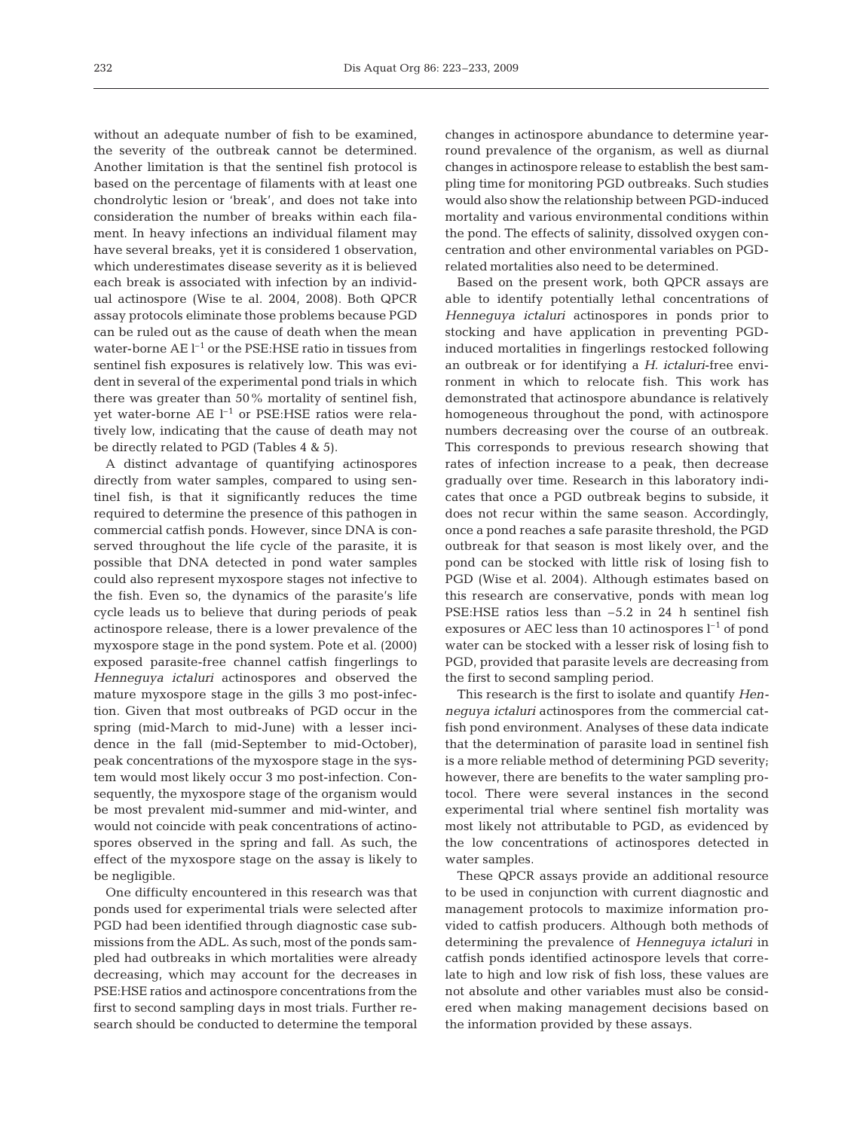without an adequate number of fish to be examined, the severity of the outbreak cannot be determined. Another limitation is that the sentinel fish protocol is based on the percentage of filaments with at least one chondrolytic lesion or 'break', and does not take into consideration the number of breaks within each filament. In heavy infections an individual filament may have several breaks, yet it is considered 1 observation, which underestimates disease severity as it is believed each break is associated with infection by an individual actinospore (Wise te al. 2004, 2008). Both QPCR assay protocols eliminate those problems because PGD can be ruled out as the cause of death when the mean water-borne  $AE I^{-1}$  or the PSE:HSE ratio in tissues from sentinel fish exposures is relatively low. This was evident in several of the experimental pond trials in which there was greater than 50% mortality of sentinel fish, yet water-borne  $AE I^{-1}$  or PSE:HSE ratios were relatively low, indicating that the cause of death may not be directly related to PGD (Tables 4 & 5).

A distinct advantage of quantifying actinospores directly from water samples, compared to using sentinel fish, is that it significantly reduces the time required to determine the presence of this pathogen in commercial catfish ponds. However, since DNA is conserved throughout the life cycle of the parasite, it is possible that DNA detected in pond water samples could also represent myxospore stages not infective to the fish. Even so, the dynamics of the parasite's life cycle leads us to believe that during periods of peak actinospore release, there is a lower prevalence of the myxospore stage in the pond system. Pote et al. (2000) exposed parasite-free channel catfish fingerlings to *Henneguya ictaluri* actinospores and observed the mature myxospore stage in the gills 3 mo post-infection. Given that most outbreaks of PGD occur in the spring (mid-March to mid-June) with a lesser incidence in the fall (mid-September to mid-October), peak concentrations of the myxospore stage in the system would most likely occur 3 mo post-infection. Consequently, the myxospore stage of the organism would be most prevalent mid-summer and mid-winter, and would not coincide with peak concentrations of actinospores observed in the spring and fall. As such, the effect of the myxospore stage on the assay is likely to be negligible.

One difficulty encountered in this research was that ponds used for experimental trials were selected after PGD had been identified through diagnostic case submissions from the ADL. As such, most of the ponds sampled had outbreaks in which mortalities were already decreasing, which may account for the decreases in PSE:HSE ratios and actinospore concentrations from the first to second sampling days in most trials. Further research should be conducted to determine the temporal

changes in actinospore abundance to determine yearround prevalence of the organism, as well as diurnal changes in actinospore release to establish the best sampling time for monitoring PGD outbreaks. Such studies would also show the relationship between PGD-induced mortality and various environmental conditions within the pond. The effects of salinity, dissolved oxygen concentration and other environmental variables on PGDrelated mortalities also need to be determined.

Based on the present work, both QPCR assays are able to identify potentially lethal concentrations of *Henneguya ictaluri* actinospores in ponds prior to stocking and have application in preventing PGDinduced mortalities in fingerlings restocked following an outbreak or for identifying a *H. ictaluri*-free environment in which to relocate fish. This work has demonstrated that actinospore abundance is relatively homogeneous throughout the pond, with actinospore numbers decreasing over the course of an outbreak. This corresponds to previous research showing that rates of infection increase to a peak, then decrease gradually over time. Research in this laboratory indicates that once a PGD outbreak begins to subside, it does not recur within the same season. Accordingly, once a pond reaches a safe parasite threshold, the PGD outbreak for that season is most likely over, and the pond can be stocked with little risk of losing fish to PGD (Wise et al. 2004). Although estimates based on this research are conservative, ponds with mean log PSE:HSE ratios less than –5.2 in 24 h sentinel fish exposures or AEC less than 10 actinospores  $l^{-1}$  of pond water can be stocked with a lesser risk of losing fish to PGD, provided that parasite levels are decreasing from the first to second sampling period.

This research is the first to isolate and quantify *Henneguya ictaluri* actinospores from the commercial catfish pond environment. Analyses of these data indicate that the determination of parasite load in sentinel fish is a more reliable method of determining PGD severity; however, there are benefits to the water sampling protocol. There were several instances in the second experimental trial where sentinel fish mortality was most likely not attributable to PGD, as evidenced by the low concentrations of actinospores detected in water samples.

These QPCR assays provide an additional resource to be used in conjunction with current diagnostic and management protocols to maximize information provided to catfish producers. Although both methods of determining the prevalence of *Henneguya ictaluri* in catfish ponds identified actinospore levels that correlate to high and low risk of fish loss, these values are not absolute and other variables must also be considered when making management decisions based on the information provided by these assays.